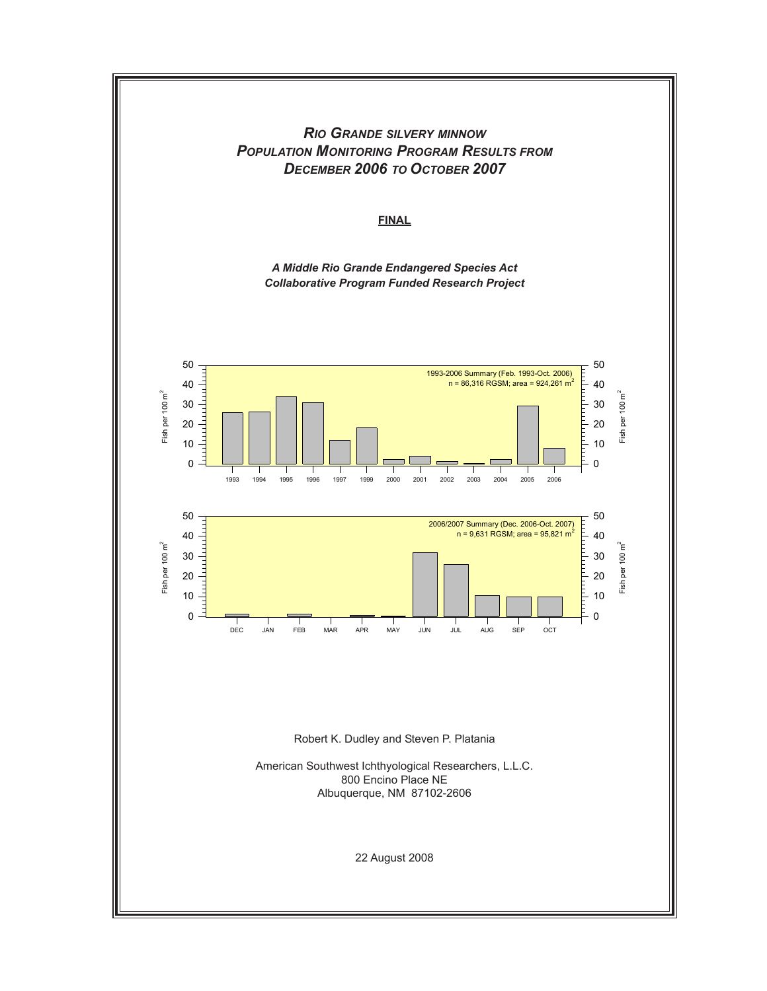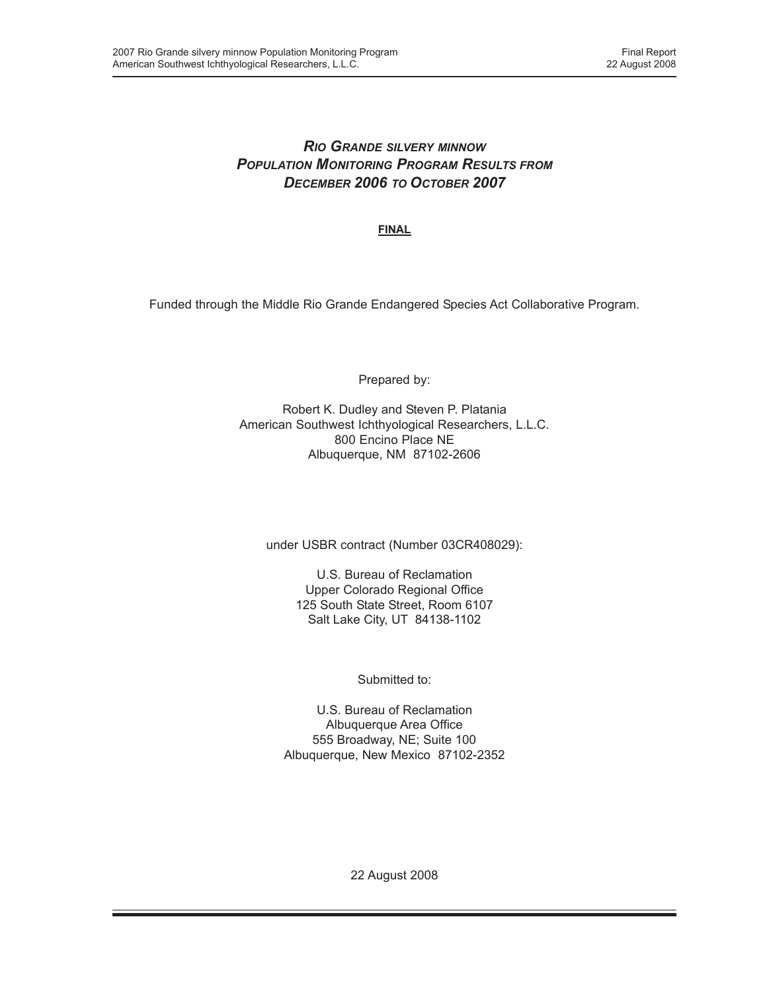## *RIO GRANDE SILVERY MINNOW POPULATION MONITORING PROGRAM RESULTS FROM DECEMBER 2006 TO OCTOBER 2007*

**FINAL**

Funded through the Middle Rio Grande Endangered Species Act Collaborative Program.

Prepared by:

Robert K. Dudley and Steven P. Platania American Southwest Ichthyological Researchers, L.L.C. 800 Encino Place NE Albuquerque, NM 87102-2606

under USBR contract (Number 03CR408029):

U.S. Bureau of Reclamation Upper Colorado Regional Office 125 South State Street, Room 6107 Salt Lake City, UT 84138-1102

Submitted to:

U.S. Bureau of Reclamation Albuquerque Area Office 555 Broadway, NE; Suite 100 Albuquerque, New Mexico 87102-2352

22 August 2008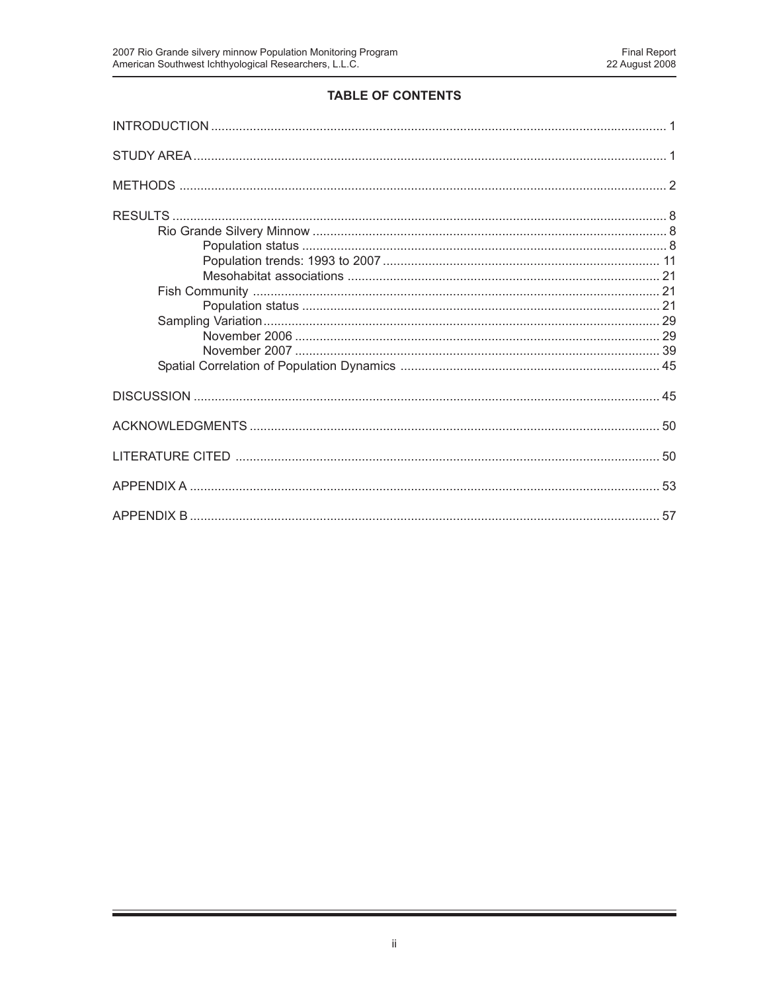# TABLE OF CONTENTS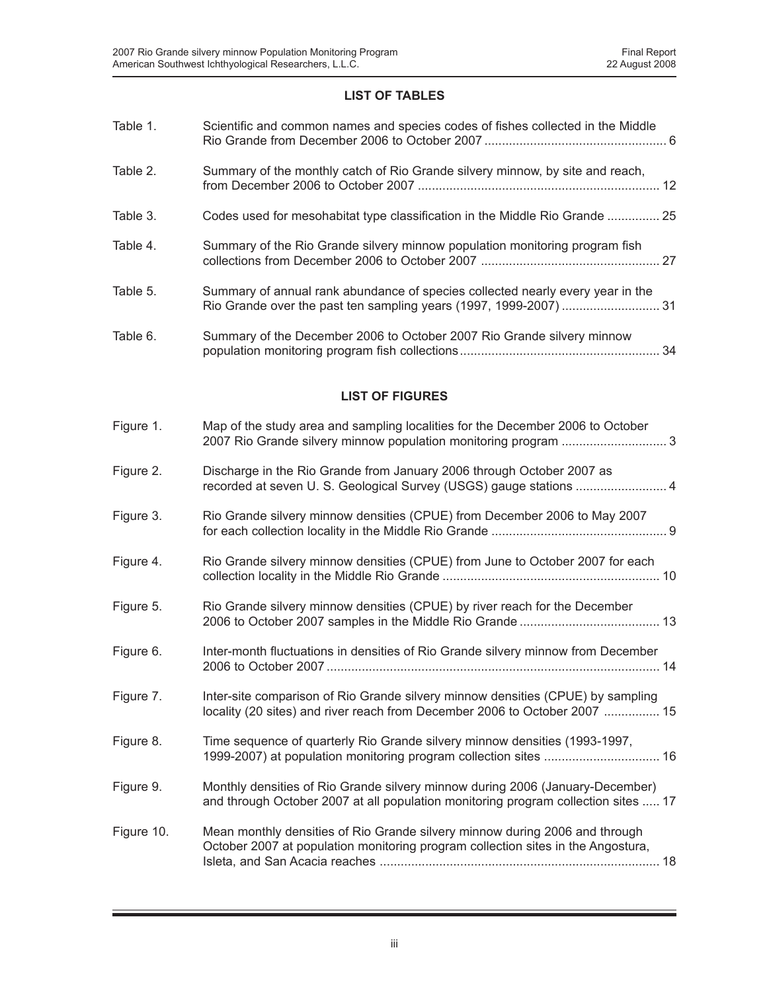### **LIST OF TABLES**

| Table 1.               | Scientific and common names and species codes of fishes collected in the Middle                                                                                     |  |  |  |
|------------------------|---------------------------------------------------------------------------------------------------------------------------------------------------------------------|--|--|--|
| Table 2.               | Summary of the monthly catch of Rio Grande silvery minnow, by site and reach,                                                                                       |  |  |  |
| Table 3.               | Codes used for mesohabitat type classification in the Middle Rio Grande  25                                                                                         |  |  |  |
| Table 4.               | Summary of the Rio Grande silvery minnow population monitoring program fish                                                                                         |  |  |  |
| Table 5.               | Summary of annual rank abundance of species collected nearly every year in the<br>Rio Grande over the past ten sampling years (1997, 1999-2007)  31                 |  |  |  |
| Table 6.               | Summary of the December 2006 to October 2007 Rio Grande silvery minnow                                                                                              |  |  |  |
| <b>LIST OF FIGURES</b> |                                                                                                                                                                     |  |  |  |
| Figure 1.              | Map of the study area and sampling localities for the December 2006 to October                                                                                      |  |  |  |
| Figure 2.              | Discharge in the Rio Grande from January 2006 through October 2007 as                                                                                               |  |  |  |
| Figure 3.              | Rio Grande silvery minnow densities (CPUE) from December 2006 to May 2007                                                                                           |  |  |  |
| Figure 4.              | Rio Grande silvery minnow densities (CPUE) from June to October 2007 for each                                                                                       |  |  |  |
| Figure 5.              | Rio Grande silvery minnow densities (CPUE) by river reach for the December                                                                                          |  |  |  |
| Figure 6.              | Inter-month fluctuations in densities of Rio Grande silvery minnow from December                                                                                    |  |  |  |
| Figure 7.              | Inter-site comparison of Rio Grande silvery minnow densities (CPUE) by sampling<br>locality (20 sites) and river reach from December 2006 to October 2007  15       |  |  |  |
| Figure 8.              | Time sequence of quarterly Rio Grande silvery minnow densities (1993-1997,                                                                                          |  |  |  |
| Figure 9.              | Monthly densities of Rio Grande silvery minnow during 2006 (January-December)<br>and through October 2007 at all population monitoring program collection sites  17 |  |  |  |
| Figure 10.             | Mean monthly densities of Rio Grande silvery minnow during 2006 and through<br>October 2007 at population monitoring program collection sites in the Angostura,     |  |  |  |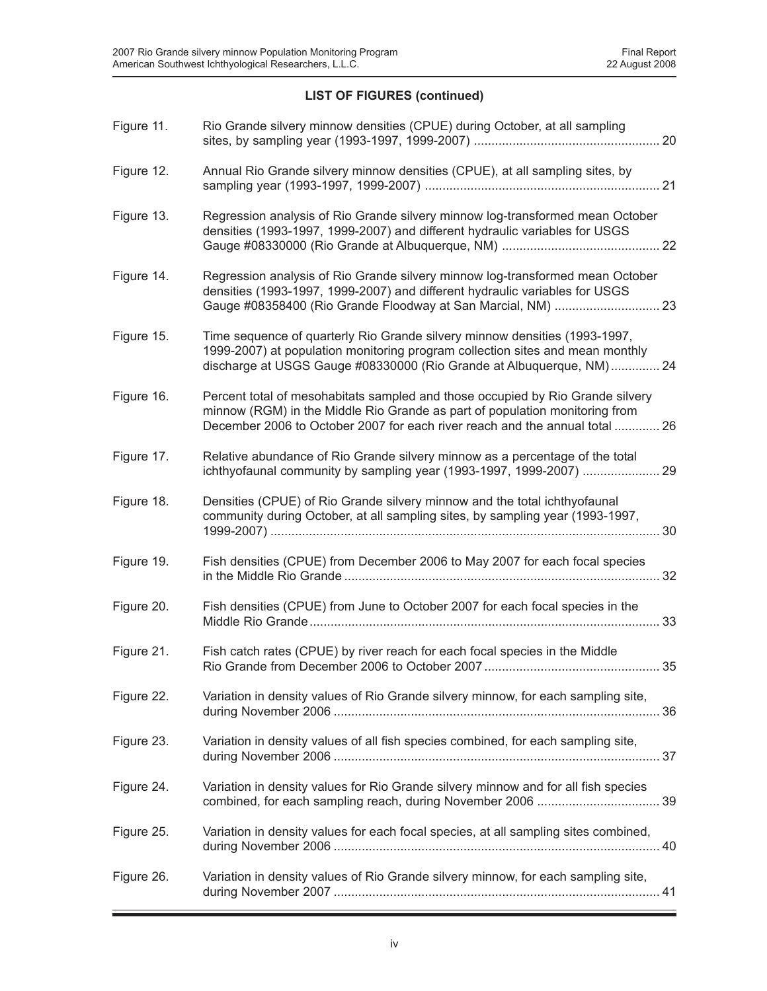### **LIST OF FIGURES (continued)**

| Figure 11. | Rio Grande silvery minnow densities (CPUE) during October, at all sampling                                                                                                                                                                   |
|------------|----------------------------------------------------------------------------------------------------------------------------------------------------------------------------------------------------------------------------------------------|
| Figure 12. | Annual Rio Grande silvery minnow densities (CPUE), at all sampling sites, by                                                                                                                                                                 |
| Figure 13. | Regression analysis of Rio Grande silvery minnow log-transformed mean October<br>densities (1993-1997, 1999-2007) and different hydraulic variables for USGS                                                                                 |
| Figure 14. | Regression analysis of Rio Grande silvery minnow log-transformed mean October<br>densities (1993-1997, 1999-2007) and different hydraulic variables for USGS<br>Gauge #08358400 (Rio Grande Floodway at San Marcial, NM)  23                 |
| Figure 15. | Time sequence of quarterly Rio Grande silvery minnow densities (1993-1997,<br>1999-2007) at population monitoring program collection sites and mean monthly<br>discharge at USGS Gauge #08330000 (Rio Grande at Albuquerque, NM) 24          |
| Figure 16. | Percent total of mesohabitats sampled and those occupied by Rio Grande silvery<br>minnow (RGM) in the Middle Rio Grande as part of population monitoring from<br>December 2006 to October 2007 for each river reach and the annual total  26 |
| Figure 17. | Relative abundance of Rio Grande silvery minnow as a percentage of the total<br>ichthyofaunal community by sampling year (1993-1997, 1999-2007)  29                                                                                          |
| Figure 18. | Densities (CPUE) of Rio Grande silvery minnow and the total ichthyofaunal<br>community during October, at all sampling sites, by sampling year (1993-1997,                                                                                   |
| Figure 19. | Fish densities (CPUE) from December 2006 to May 2007 for each focal species                                                                                                                                                                  |
| Figure 20. | Fish densities (CPUE) from June to October 2007 for each focal species in the                                                                                                                                                                |
| Figure 21. | Fish catch rates (CPUE) by river reach for each focal species in the Middle                                                                                                                                                                  |
| Figure 22. | Variation in density values of Rio Grande silvery minnow, for each sampling site,                                                                                                                                                            |
| Figure 23. | Variation in density values of all fish species combined, for each sampling site,                                                                                                                                                            |
| Figure 24. | Variation in density values for Rio Grande silvery minnow and for all fish species                                                                                                                                                           |
| Figure 25. | Variation in density values for each focal species, at all sampling sites combined,                                                                                                                                                          |
| Figure 26. | Variation in density values of Rio Grande silvery minnow, for each sampling site,                                                                                                                                                            |
|            |                                                                                                                                                                                                                                              |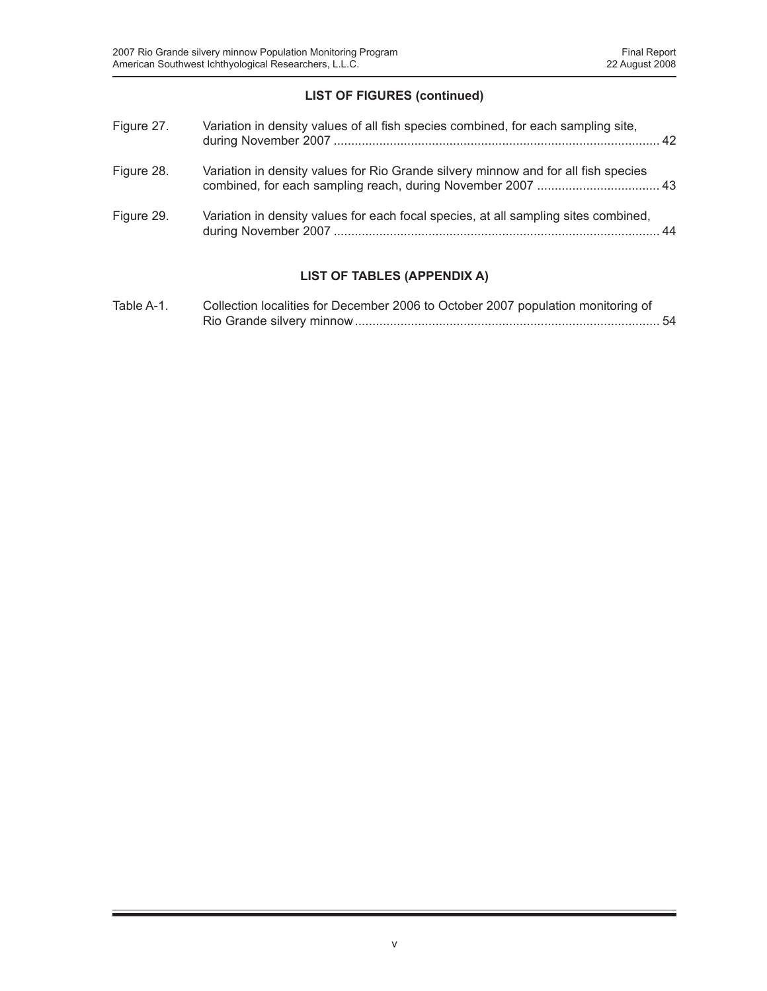### **LIST OF FIGURES (continued)**

| Figure 27. | Variation in density values of all fish species combined, for each sampling site,   |  |
|------------|-------------------------------------------------------------------------------------|--|
| Figure 28. | Variation in density values for Rio Grande silvery minnow and for all fish species  |  |
| Figure 29. | Variation in density values for each focal species, at all sampling sites combined, |  |

# **LIST OF TABLES (APPENDIX A)**

| Table A-1. | Collection localities for December 2006 to October 2007 population monitoring of |
|------------|----------------------------------------------------------------------------------|
|            |                                                                                  |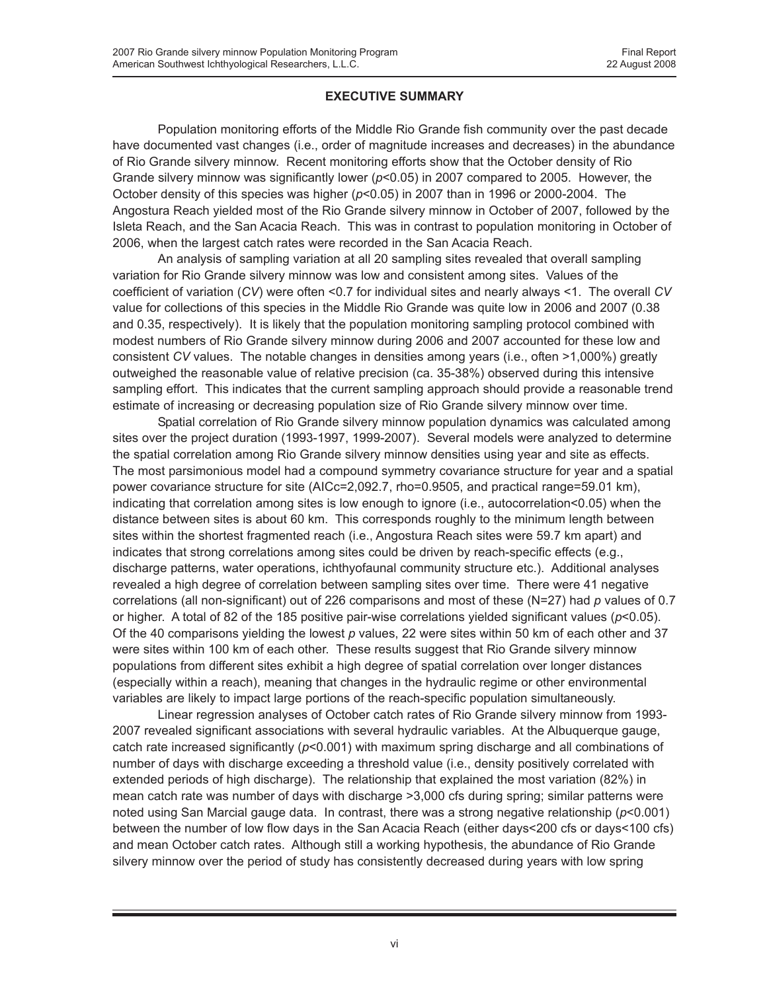### **EXECUTIVE SUMMARY**

Population monitoring efforts of the Middle Rio Grande fish community over the past decade have documented vast changes (i.e., order of magnitude increases and decreases) in the abundance of Rio Grande silvery minnow. Recent monitoring efforts show that the October density of Rio Grande silvery minnow was significantly lower (*p*<0.05) in 2007 compared to 2005. However, the October density of this species was higher (*p*<0.05) in 2007 than in 1996 or 2000-2004. The Angostura Reach yielded most of the Rio Grande silvery minnow in October of 2007, followed by the Isleta Reach, and the San Acacia Reach. This was in contrast to population monitoring in October of 2006, when the largest catch rates were recorded in the San Acacia Reach.

An analysis of sampling variation at all 20 sampling sites revealed that overall sampling variation for Rio Grande silvery minnow was low and consistent among sites. Values of the coefficient of variation (*CV*) were often <0.7 for individual sites and nearly always <1. The overall *CV* value for collections of this species in the Middle Rio Grande was quite low in 2006 and 2007 (0.38 and 0.35, respectively). It is likely that the population monitoring sampling protocol combined with modest numbers of Rio Grande silvery minnow during 2006 and 2007 accounted for these low and consistent *CV* values. The notable changes in densities among years (i.e., often >1,000%) greatly outweighed the reasonable value of relative precision (ca. 35-38%) observed during this intensive sampling effort. This indicates that the current sampling approach should provide a reasonable trend estimate of increasing or decreasing population size of Rio Grande silvery minnow over time.

Spatial correlation of Rio Grande silvery minnow population dynamics was calculated among sites over the project duration (1993-1997, 1999-2007). Several models were analyzed to determine the spatial correlation among Rio Grande silvery minnow densities using year and site as effects. The most parsimonious model had a compound symmetry covariance structure for year and a spatial power covariance structure for site (AICc=2,092.7, rho=0.9505, and practical range=59.01 km), indicating that correlation among sites is low enough to ignore (i.e., autocorrelation<0.05) when the distance between sites is about 60 km. This corresponds roughly to the minimum length between sites within the shortest fragmented reach (i.e., Angostura Reach sites were 59.7 km apart) and indicates that strong correlations among sites could be driven by reach-specific effects (e.g., discharge patterns, water operations, ichthyofaunal community structure etc.). Additional analyses revealed a high degree of correlation between sampling sites over time. There were 41 negative correlations (all non-significant) out of 226 comparisons and most of these (N=27) had *p* values of 0.7 or higher. A total of 82 of the 185 positive pair-wise correlations yielded significant values (*p*<0.05). Of the 40 comparisons yielding the lowest *p* values, 22 were sites within 50 km of each other and 37 were sites within 100 km of each other. These results suggest that Rio Grande silvery minnow populations from different sites exhibit a high degree of spatial correlation over longer distances (especially within a reach), meaning that changes in the hydraulic regime or other environmental variables are likely to impact large portions of the reach-specific population simultaneously.

Linear regression analyses of October catch rates of Rio Grande silvery minnow from 1993- 2007 revealed significant associations with several hydraulic variables. At the Albuquerque gauge, catch rate increased significantly (*p*<0.001) with maximum spring discharge and all combinations of number of days with discharge exceeding a threshold value (i.e., density positively correlated with extended periods of high discharge). The relationship that explained the most variation (82%) in mean catch rate was number of days with discharge >3,000 cfs during spring; similar patterns were noted using San Marcial gauge data. In contrast, there was a strong negative relationship (*p*<0.001) between the number of low flow days in the San Acacia Reach (either days<200 cfs or days<100 cfs) and mean October catch rates. Although still a working hypothesis, the abundance of Rio Grande silvery minnow over the period of study has consistently decreased during years with low spring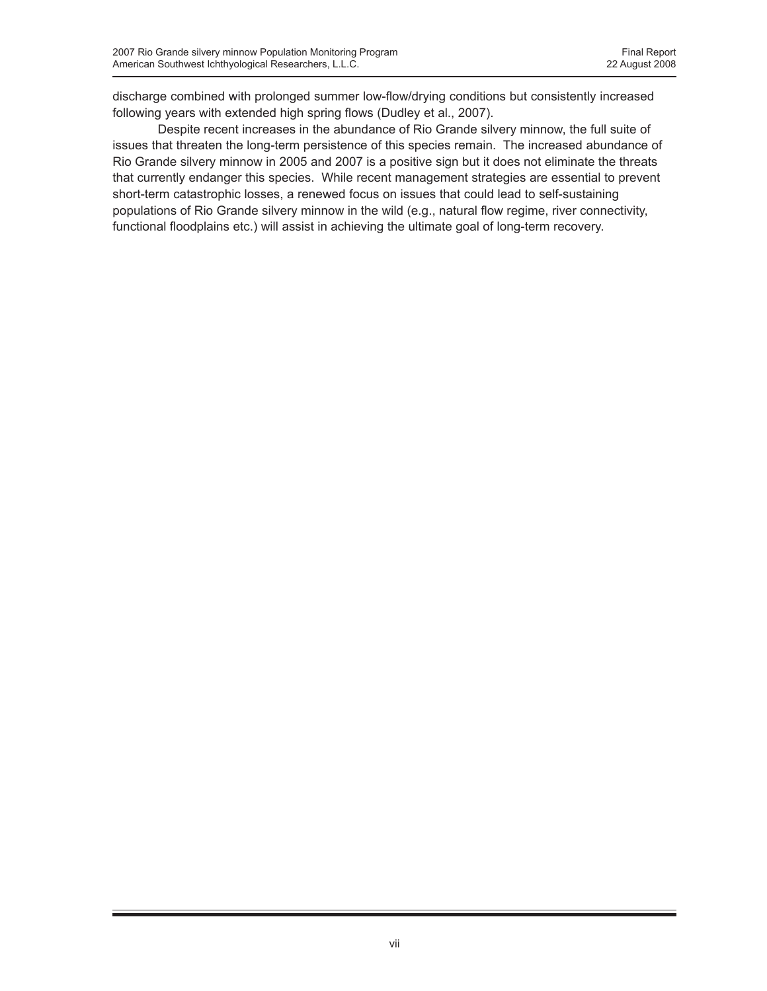discharge combined with prolonged summer low-flow/drying conditions but consistently increased following years with extended high spring flows (Dudley et al., 2007).

Despite recent increases in the abundance of Rio Grande silvery minnow, the full suite of issues that threaten the long-term persistence of this species remain. The increased abundance of Rio Grande silvery minnow in 2005 and 2007 is a positive sign but it does not eliminate the threats that currently endanger this species. While recent management strategies are essential to prevent short-term catastrophic losses, a renewed focus on issues that could lead to self-sustaining populations of Rio Grande silvery minnow in the wild (e.g., natural flow regime, river connectivity, functional floodplains etc.) will assist in achieving the ultimate goal of long-term recovery.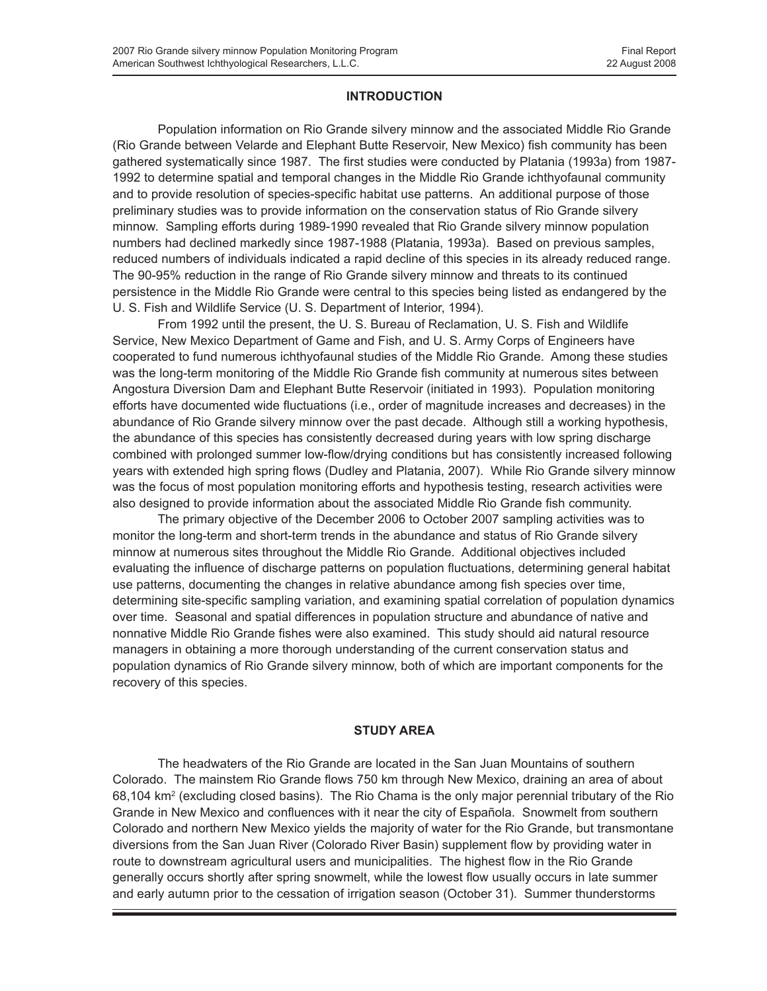### **INTRODUCTION**

Population information on Rio Grande silvery minnow and the associated Middle Rio Grande (Rio Grande between Velarde and Elephant Butte Reservoir, New Mexico) fish community has been gathered systematically since 1987. The first studies were conducted by Platania (1993a) from 1987- 1992 to determine spatial and temporal changes in the Middle Rio Grande ichthyofaunal community and to provide resolution of species-specific habitat use patterns. An additional purpose of those preliminary studies was to provide information on the conservation status of Rio Grande silvery minnow. Sampling efforts during 1989-1990 revealed that Rio Grande silvery minnow population numbers had declined markedly since 1987-1988 (Platania, 1993a). Based on previous samples, reduced numbers of individuals indicated a rapid decline of this species in its already reduced range. The 90-95% reduction in the range of Rio Grande silvery minnow and threats to its continued persistence in the Middle Rio Grande were central to this species being listed as endangered by the U. S. Fish and Wildlife Service (U. S. Department of Interior, 1994).

From 1992 until the present, the U. S. Bureau of Reclamation, U. S. Fish and Wildlife Service, New Mexico Department of Game and Fish, and U. S. Army Corps of Engineers have cooperated to fund numerous ichthyofaunal studies of the Middle Rio Grande. Among these studies was the long-term monitoring of the Middle Rio Grande fish community at numerous sites between Angostura Diversion Dam and Elephant Butte Reservoir (initiated in 1993). Population monitoring efforts have documented wide fluctuations (i.e., order of magnitude increases and decreases) in the abundance of Rio Grande silvery minnow over the past decade. Although still a working hypothesis, the abundance of this species has consistently decreased during years with low spring discharge combined with prolonged summer low-flow/drying conditions but has consistently increased following years with extended high spring flows (Dudley and Platania, 2007). While Rio Grande silvery minnow was the focus of most population monitoring efforts and hypothesis testing, research activities were also designed to provide information about the associated Middle Rio Grande fish community.

The primary objective of the December 2006 to October 2007 sampling activities was to monitor the long-term and short-term trends in the abundance and status of Rio Grande silvery minnow at numerous sites throughout the Middle Rio Grande. Additional objectives included evaluating the influence of discharge patterns on population fluctuations, determining general habitat use patterns, documenting the changes in relative abundance among fish species over time, determining site-specific sampling variation, and examining spatial correlation of population dynamics over time. Seasonal and spatial differences in population structure and abundance of native and nonnative Middle Rio Grande fishes were also examined. This study should aid natural resource managers in obtaining a more thorough understanding of the current conservation status and population dynamics of Rio Grande silvery minnow, both of which are important components for the recovery of this species.

### **STUDY AREA**

The headwaters of the Rio Grande are located in the San Juan Mountains of southern Colorado. The mainstem Rio Grande flows 750 km through New Mexico, draining an area of about 68,104 km<sup>2</sup> (excluding closed basins). The Rio Chama is the only major perennial tributary of the Rio Grande in New Mexico and confluences with it near the city of Española. Snowmelt from southern Colorado and northern New Mexico yields the majority of water for the Rio Grande, but transmontane diversions from the San Juan River (Colorado River Basin) supplement flow by providing water in route to downstream agricultural users and municipalities. The highest flow in the Rio Grande generally occurs shortly after spring snowmelt, while the lowest flow usually occurs in late summer and early autumn prior to the cessation of irrigation season (October 31). Summer thunderstorms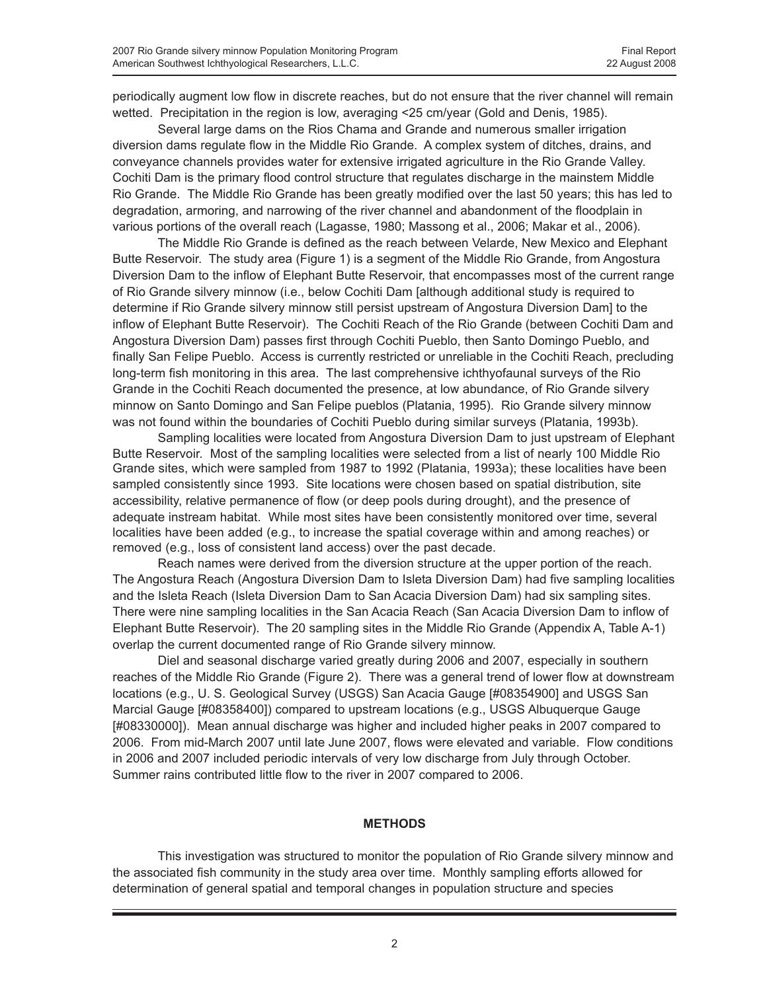periodically augment low flow in discrete reaches, but do not ensure that the river channel will remain wetted. Precipitation in the region is low, averaging <25 cm/year (Gold and Denis, 1985).

Several large dams on the Rios Chama and Grande and numerous smaller irrigation diversion dams regulate flow in the Middle Rio Grande. A complex system of ditches, drains, and conveyance channels provides water for extensive irrigated agriculture in the Rio Grande Valley. Cochiti Dam is the primary flood control structure that regulates discharge in the mainstem Middle Rio Grande. The Middle Rio Grande has been greatly modified over the last 50 years; this has led to degradation, armoring, and narrowing of the river channel and abandonment of the floodplain in various portions of the overall reach (Lagasse, 1980; Massong et al., 2006; Makar et al., 2006).

The Middle Rio Grande is defined as the reach between Velarde, New Mexico and Elephant Butte Reservoir. The study area (Figure 1) is a segment of the Middle Rio Grande, from Angostura Diversion Dam to the inflow of Elephant Butte Reservoir, that encompasses most of the current range of Rio Grande silvery minnow (i.e., below Cochiti Dam [although additional study is required to determine if Rio Grande silvery minnow still persist upstream of Angostura Diversion Dam] to the inflow of Elephant Butte Reservoir). The Cochiti Reach of the Rio Grande (between Cochiti Dam and Angostura Diversion Dam) passes first through Cochiti Pueblo, then Santo Domingo Pueblo, and finally San Felipe Pueblo. Access is currently restricted or unreliable in the Cochiti Reach, precluding long-term fish monitoring in this area. The last comprehensive ichthyofaunal surveys of the Rio Grande in the Cochiti Reach documented the presence, at low abundance, of Rio Grande silvery minnow on Santo Domingo and San Felipe pueblos (Platania, 1995). Rio Grande silvery minnow was not found within the boundaries of Cochiti Pueblo during similar surveys (Platania, 1993b).

Sampling localities were located from Angostura Diversion Dam to just upstream of Elephant Butte Reservoir. Most of the sampling localities were selected from a list of nearly 100 Middle Rio Grande sites, which were sampled from 1987 to 1992 (Platania, 1993a); these localities have been sampled consistently since 1993. Site locations were chosen based on spatial distribution, site accessibility, relative permanence of flow (or deep pools during drought), and the presence of adequate instream habitat. While most sites have been consistently monitored over time, several localities have been added (e.g., to increase the spatial coverage within and among reaches) or removed (e.g., loss of consistent land access) over the past decade.

Reach names were derived from the diversion structure at the upper portion of the reach. The Angostura Reach (Angostura Diversion Dam to Isleta Diversion Dam) had five sampling localities and the Isleta Reach (Isleta Diversion Dam to San Acacia Diversion Dam) had six sampling sites. There were nine sampling localities in the San Acacia Reach (San Acacia Diversion Dam to inflow of Elephant Butte Reservoir). The 20 sampling sites in the Middle Rio Grande (Appendix A, Table A-1) overlap the current documented range of Rio Grande silvery minnow.

Diel and seasonal discharge varied greatly during 2006 and 2007, especially in southern reaches of the Middle Rio Grande (Figure 2). There was a general trend of lower flow at downstream locations (e.g., U. S. Geological Survey (USGS) San Acacia Gauge [#08354900] and USGS San Marcial Gauge [#08358400]) compared to upstream locations (e.g., USGS Albuquerque Gauge [#08330000]). Mean annual discharge was higher and included higher peaks in 2007 compared to 2006. From mid-March 2007 until late June 2007, flows were elevated and variable. Flow conditions in 2006 and 2007 included periodic intervals of very low discharge from July through October. Summer rains contributed little flow to the river in 2007 compared to 2006.

### **METHODS**

This investigation was structured to monitor the population of Rio Grande silvery minnow and the associated fish community in the study area over time. Monthly sampling efforts allowed for determination of general spatial and temporal changes in population structure and species